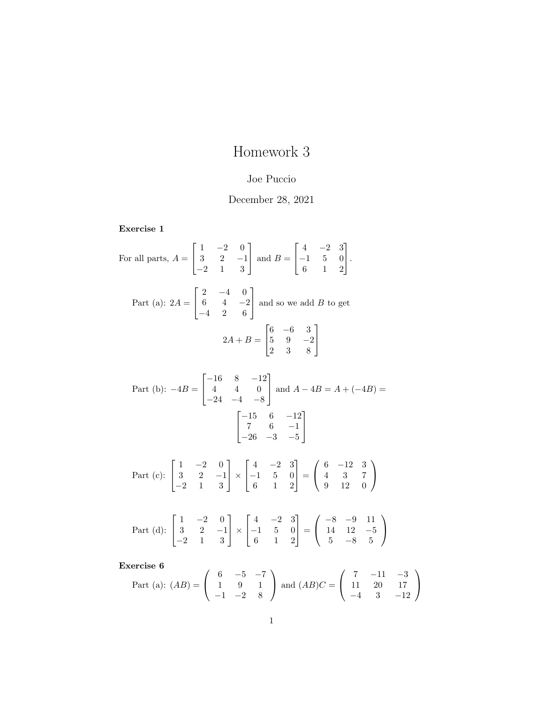## Homework 3

## Joe Puccio

## December 28, 2021

Exercise 1

For all parts, 
$$
A = \begin{bmatrix} 1 & -2 & 0 \ 3 & 2 & -1 \ -2 & 1 & 3 \end{bmatrix}
$$
 and  $B = \begin{bmatrix} 4 & -2 & 3 \ -1 & 5 & 0 \ 6 & 1 & 2 \end{bmatrix}$ .  
\nPart (a):  $2A = \begin{bmatrix} 2 & -4 & 0 \ 6 & 4 & -2 \ -4 & 2 & 6 \end{bmatrix}$  and so we add B to get  
\n
$$
2A + B = \begin{bmatrix} 6 & -6 & 3 \ 5 & 9 & -2 \ 2 & 3 & 8 \end{bmatrix}
$$
\nPart (b):  $-4B = \begin{bmatrix} -16 & 8 & -12 \ 4 & 4 & 0 \ -24 & -4 & -8 \end{bmatrix}$  and  $A - 4B = A + (-4B) = \begin{bmatrix} -15 & 6 & -12 \ 7 & 6 & -1 \ -26 & -3 & -5 \end{bmatrix}$   
\nPart (c):  $\begin{bmatrix} 1 & -2 & 0 \ 3 & 2 & -1 \ -2 & 1 & 3 \end{bmatrix} \times \begin{bmatrix} 4 & -2 & 3 \ -1 & 5 & 0 \ 6 & 1 & 2 \end{bmatrix} = \begin{bmatrix} 6 & -12 & 3 \ 4 & 3 & 7 \ 9 & 12 & 0 \end{bmatrix}$   
\nPart (d):  $\begin{bmatrix} 1 & -2 & 0 \ 3 & 2 & -1 \ -2 & 1 & 3 \end{bmatrix} \times \begin{bmatrix} 4 & -2 & 3 \ -1 & 5 & 0 \ 6 & 1 & 2 \end{bmatrix} = \begin{bmatrix} -8 & -9 & 11 \ 14 & 12 & -5 \ 5 & -8 & 5 \end{bmatrix}$ 

Exercise 6

Part (a): 
$$
(AB) = \begin{pmatrix} 6 & -5 & -7 \\ 1 & 9 & 1 \\ -1 & -2 & 8 \end{pmatrix}
$$
 and  $(AB)C = \begin{pmatrix} 7 & -11 & -3 \\ 11 & 20 & 17 \\ -4 & 3 & -12 \end{pmatrix}$